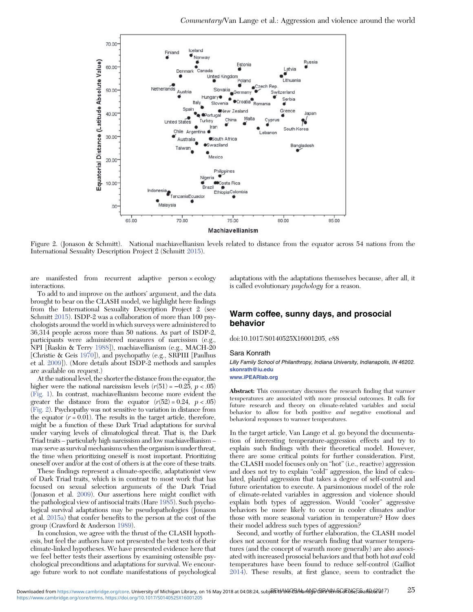

Figure 2. (Jonason & Schmitt). National machiavellianism levels related to distance from the equator across 54 nations from the International Sexuality Description Project 2 (Schmitt 2015).

are manifested from recurrent adaptive person × ecology interactions.

To add to and improve on the authors' argument, and the data brought to bear on the CLASH model, we highlight here findings from the International Sexuality Description Project 2 (see Schmitt 2015). ISDP-2 was a collaboration of more than 100 psychologists around the world in which surveys were administered to 36,314 people across more than 50 nations. As part of ISDP-2, participants were administered measures of narcissism (e.g., NPI [Raskin & Terry 1988]), machiavellianism (e.g., MACH-20 [Christie & Geis 1970]), and psychopathy (e.g., SRPIII [Paulhus et al. 2009]). (More details about ISDP-2 methods and samples are available on request.)

At the national level, the shorter the distance from the equator, the higher were the national narcissism levels  $(r(51) = -0.25, p < .05)$ (Fig. 1). In contrast, machiavellianism become more evident the greater the distance from the equator  $(r(52) = 0.24, p < .05)$ (Fig. 2). Psychopathy was not sensitive to variation in distance from the equator  $(r = 0.01)$ . The results in the target article, therefore, might be a function of these Dark Triad adaptations for survival under varying levels of climatological threat. That is, the Dark Triad traits – particularly high narcissism and low machiavellianism – may serve as survival mechanismswhen the organism is under threat, the time when prioritizing oneself is most important. Prioritizing oneself over and/or at the cost of others is at the core of these traits.

These findings represent a climate-specific, adaptationist view of Dark Triad traits, which is in contrast to most work that has focused on sexual selection arguments of the Dark Triad (Jonason et al. 2009). Our assertions here might conflict with the pathological view of antisocial traits (Hare 1985). Such psychological survival adaptations may be pseudopathologies (Jonason et al. 2015a) that confer benefits to the person at the cost of the group (Crawford & Anderson 1989).

In conclusion, we agree with the thrust of the CLASH hypothesis, but feel the authors have not presented the best tests of their climate-linked hypotheses. We have presented evidence here that we feel better tests their assertions by examining ostensible psychological preconditions and adaptations for survival. We encourage future work to not conflate manifestations of psychological adaptations with the adaptations themselves because, after all, it is called evolutionary *psychology* for a reason.

## Warm coffee, sunny days, and prosocial behavior

doi:10.1017/S0140525X16001205, e88

## Sara Konrath

Lilly Family School of Philanthropy, Indiana University, Indianapolis, IN 46202. skonrath@iu.edu

www.iPEARlab.org

Abstract: This commentary discusses the research finding that warmer temperatures are associated with more prosocial outcomes. It calls for future research and theory on climate-related variables and social behavior to allow for both positive and negative emotional and behavioral responses to warmer temperatures.

In the target article, Van Lange et al. go beyond the documentation of interesting temperature-aggression effects and try to explain such findings with their theoretical model. However, there are some critical points for further consideration. First, the CLASH model focuses only on "hot" (i.e., reactive) aggression and does not try to explain "cold" aggression, the kind of calculated, planful aggression that takes a degree of self-control and future orientation to execute. A parsimonious model of the role of climate-related variables in aggression and violence should explain both types of aggression. Would "cooler" aggressive behaviors be more likely to occur in cooler climates and/or those with more seasonal variation in temperature? How does their model address such types of aggression?

Second, and worthy of further elaboration, the CLASH model does not account for the research finding that warmer temperatures (and the concept of warmth more generally) are also associated with increased prosocial behaviors and that both hot and cold temperatures have been found to reduce self-control (Gailliot 2014). These results, at first glance, seem to contradict the